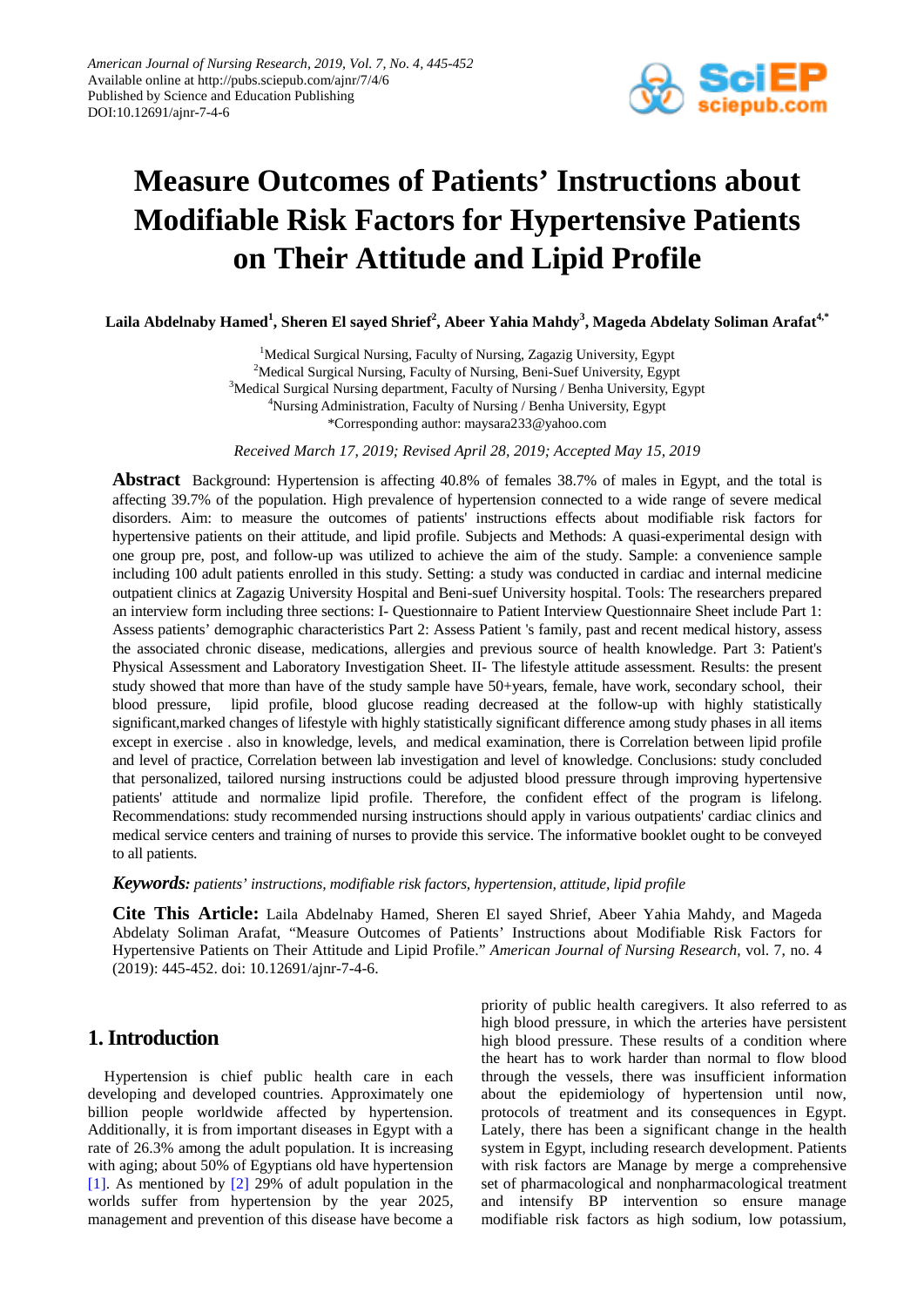

# **Measure Outcomes of Patients' Instructions about Modifiable Risk Factors for Hypertensive Patients on Their Attitude and Lipid Profile**

 $\bf{L}$ aila Abdelnaby Hamed $^1$ , Sheren El sayed Shrief $^2$ , Abeer Yahia Mahdy $^3$ , Mageda Abdelaty Soliman Arafat $^{4, *}$ 

<sup>1</sup>Medical Surgical Nursing, Faculty of Nursing, Zagazig University, Egypt <sup>2</sup>Medical Surgical Nursing, Faculty of Nursing, Beni-Suef University, Egypt <sup>3</sup>Medical Surgical Nursing department, Faculty of Nursing / Benha University, Egypt <sup>4</sup>Nursing Administration, Faculty of Nursing / Benha University, Egypt \*Corresponding author: maysara233@yahoo.com

*Received March 17, 2019; Revised April 28, 2019; Accepted May 15, 2019*

**Abstract** Background: Hypertension is affecting 40.8% of females 38.7% of males in Egypt, and the total is affecting 39.7% of the population. High prevalence of hypertension connected to a wide range of severe medical disorders. Aim: to measure the outcomes of patients' instructions effects about modifiable risk factors for hypertensive patients on their attitude, and lipid profile. Subjects and Methods: A quasi-experimental design with one group pre, post, and follow-up was utilized to achieve the aim of the study. Sample: a convenience sample including 100 adult patients enrolled in this study. Setting: a study was conducted in cardiac and internal medicine outpatient clinics at Zagazig University Hospital and Beni-suef University hospital. Tools: The researchers prepared an interview form including three sections: I- Questionnaire to Patient Interview Questionnaire Sheet include Part 1: Assess patients' demographic characteristics Part 2: Assess Patient 's family, past and recent medical history, assess the associated chronic disease, medications, allergies and previous source of health knowledge. Part 3: Patient's Physical Assessment and Laboratory Investigation Sheet. II- The lifestyle attitude assessment. Results: the present study showed that more than have of the study sample have 50+years, female, have work, secondary school, their blood pressure, lipid profile, blood glucose reading decreased at the follow-up with highly statistically significant,marked changes of lifestyle with highly statistically significant difference among study phases in all items except in exercise . also in knowledge, levels, and medical examination, there is Correlation between lipid profile and level of practice, Correlation between lab investigation and level of knowledge. Conclusions: study concluded that personalized, tailored nursing instructions could be adjusted blood pressure through improving hypertensive patients' attitude and normalize lipid profile. Therefore, the confident effect of the program is lifelong. Recommendations: study recommended nursing instructions should apply in various outpatients' cardiac clinics and medical service centers and training of nurses to provide this service. The informative booklet ought to be conveyed to all patients.

*Keywords: patients' instructions, modifiable risk factors, hypertension, attitude, lipid profile*

**Cite This Article:** Laila Abdelnaby Hamed, Sheren El sayed Shrief, Abeer Yahia Mahdy, and Mageda Abdelaty Soliman Arafat, "Measure Outcomes of Patients' Instructions about Modifiable Risk Factors for Hypertensive Patients on Their Attitude and Lipid Profile." *American Journal of Nursing Research*, vol. 7, no. 4 (2019): 445-452. doi: 10.12691/ajnr-7-4-6.

# **1. Introduction**

Hypertension is chief public health care in each developing and developed countries. Approximately one billion people worldwide affected by hypertension. Additionally, it is from important diseases in Egypt with a rate of 26.3% among the adult population. It is increasing with aging; about 50% of Egyptians old have hypertension [\[1\].](#page-6-0) As mentioned by [\[2\]](#page-6-1) 29% of adult population in the worlds suffer from hypertension by the year 2025, management and prevention of this disease have become a priority of public health caregivers. It also referred to as high blood pressure, in which the arteries have persistent high blood pressure. These results of a condition where the heart has to work harder than normal to flow blood through the vessels, there was insufficient information about the epidemiology of hypertension until now, protocols of treatment and its consequences in Egypt. Lately, there has been a significant change in the health system in Egypt, including research development. Patients with risk factors are Manage by merge a comprehensive set of pharmacological and nonpharmacological treatment and intensify BP intervention so ensure manage modifiable risk factors as high sodium, low potassium,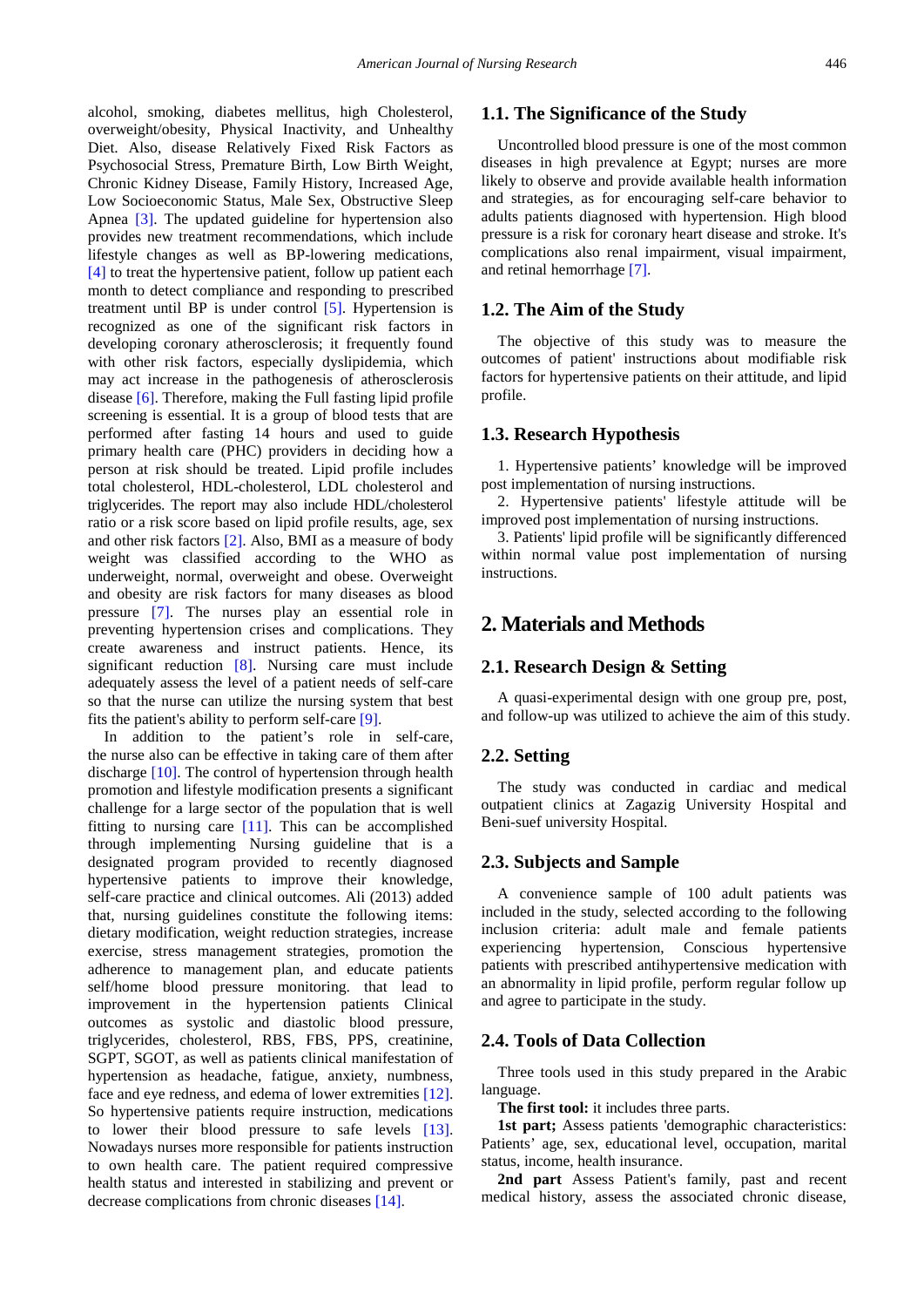alcohol, smoking, diabetes mellitus, high Cholesterol, overweight/obesity, Physical Inactivity, and Unhealthy Diet. Also, disease Relatively Fixed Risk Factors as Psychosocial Stress, Premature Birth, Low Birth Weight, Chronic Kidney Disease, Family History, Increased Age, Low Socioeconomic Status, Male Sex, Obstructive Sleep Apnea [\[3\].](#page-6-2) The updated guideline for hypertension also provides new treatment recommendations, which include lifestyle changes as well as BP-lowering medications, [\[4\]](#page-6-3) to treat the hypertensive patient, follow up patient each month to detect compliance and responding to prescribed treatment until BP is under control [\[5\].](#page-7-0) Hypertension is recognized as one of the significant risk factors in developing coronary atherosclerosis; it frequently found with other risk factors, especially dyslipidemia, which may act increase in the pathogenesis of atherosclerosis disease [\[6\].](#page-7-1) Therefore, making the Full fasting lipid profile screening is essential. It is a group of blood tests that are performed after fasting 14 hours and used to guide primary health care (PHC) providers in deciding how a person at risk should be treated. Lipid profile includes total cholesterol, HDL-cholesterol, LDL cholesterol and triglycerides. The report may also include HDL/cholesterol ratio or a risk score based on lipid profile results, age, sex and other risk factors [\[2\].](#page-6-1) Also, BMI as a measure of body weight was classified according to the WHO as underweight, normal, overweight and obese. Overweight and obesity are risk factors for many diseases as blood pressure [\[7\].](#page-7-2) The nurses play an essential role in preventing hypertension crises and complications. They create awareness and instruct patients. Hence, its significant reduction [\[8\].](#page-7-3) Nursing care must include adequately assess the level of a patient needs of self-care so that the nurse can utilize the nursing system that best fits the patient's ability to perform self-care [\[9\].](#page-7-4)

In addition to the patient's role in self-care, the nurse also can be effective in taking care of them after discharge [\[10\].](#page-7-5) The control of hypertension through health promotion and lifestyle modification presents a significant challenge for a large sector of the population that is well fitting to nursing care [\[11\].](#page-7-6) This can be accomplished through implementing Nursing guideline that is a designated program provided to recently diagnosed hypertensive patients to improve their knowledge, self-care practice and clinical outcomes. Ali (2013) added that, nursing guidelines constitute the following items: dietary modification, weight reduction strategies, increase exercise, stress management strategies, promotion the adherence to management plan, and educate patients self/home blood pressure monitoring. that lead to improvement in the hypertension patients Clinical outcomes as systolic and diastolic blood pressure, triglycerides, cholesterol, RBS, FBS, PPS, creatinine, SGPT, SGOT, as well as patients clinical manifestation of hypertension as headache, fatigue, anxiety, numbness, face and eye redness, and edema of lower extremities [\[12\].](#page-7-7) So hypertensive patients require instruction, medications to lower their blood pressure to safe levels [\[13\].](#page-7-8) Nowadays nurses more responsible for patients instruction to own health care. The patient required compressive health status and interested in stabilizing and prevent or decrease complications from chronic diseases [\[14\].](#page-7-9)

## **1.1. The Significance of the Study**

Uncontrolled blood pressure is one of the most common diseases in high prevalence at Egypt; nurses are more likely to observe and provide available health information and strategies, as for encouraging self-care behavior to adults patients diagnosed with hypertension. High blood pressure is a risk for coronary heart disease and stroke. It's complications also renal impairment, visual impairment, and retinal hemorrhage [\[7\].](#page-7-2)

#### **1.2. The Aim of the Study**

The objective of this study was to measure the outcomes of patient' instructions about modifiable risk factors for hypertensive patients on their attitude, and lipid profile.

#### **1.3. Research Hypothesis**

1. Hypertensive patients' knowledge will be improved post implementation of nursing instructions.

2. Hypertensive patients' lifestyle attitude will be improved post implementation of nursing instructions.

3. Patients' lipid profile will be significantly differenced within normal value post implementation of nursing instructions.

## **2. Materials and Methods**

#### **2.1. Research Design & Setting**

A quasi-experimental design with one group pre, post, and follow-up was utilized to achieve the aim of this study.

#### **2.2. Setting**

The study was conducted in cardiac and medical outpatient clinics at Zagazig University Hospital and Beni-suef university Hospital.

#### **2.3. Subjects and Sample**

A convenience sample of 100 adult patients was included in the study, selected according to the following inclusion criteria: adult male and female patients experiencing hypertension, Conscious hypertensive patients with prescribed antihypertensive medication with an abnormality in lipid profile, perform regular follow up and agree to participate in the study.

#### **2.4. Tools of Data Collection**

Three tools used in this study prepared in the Arabic language.

**The first tool:** it includes three parts.

**1st part;** Assess patients 'demographic characteristics: Patients' age, sex, educational level, occupation, marital status, income, health insurance.

**2nd part** Assess Patient's family, past and recent medical history, assess the associated chronic disease,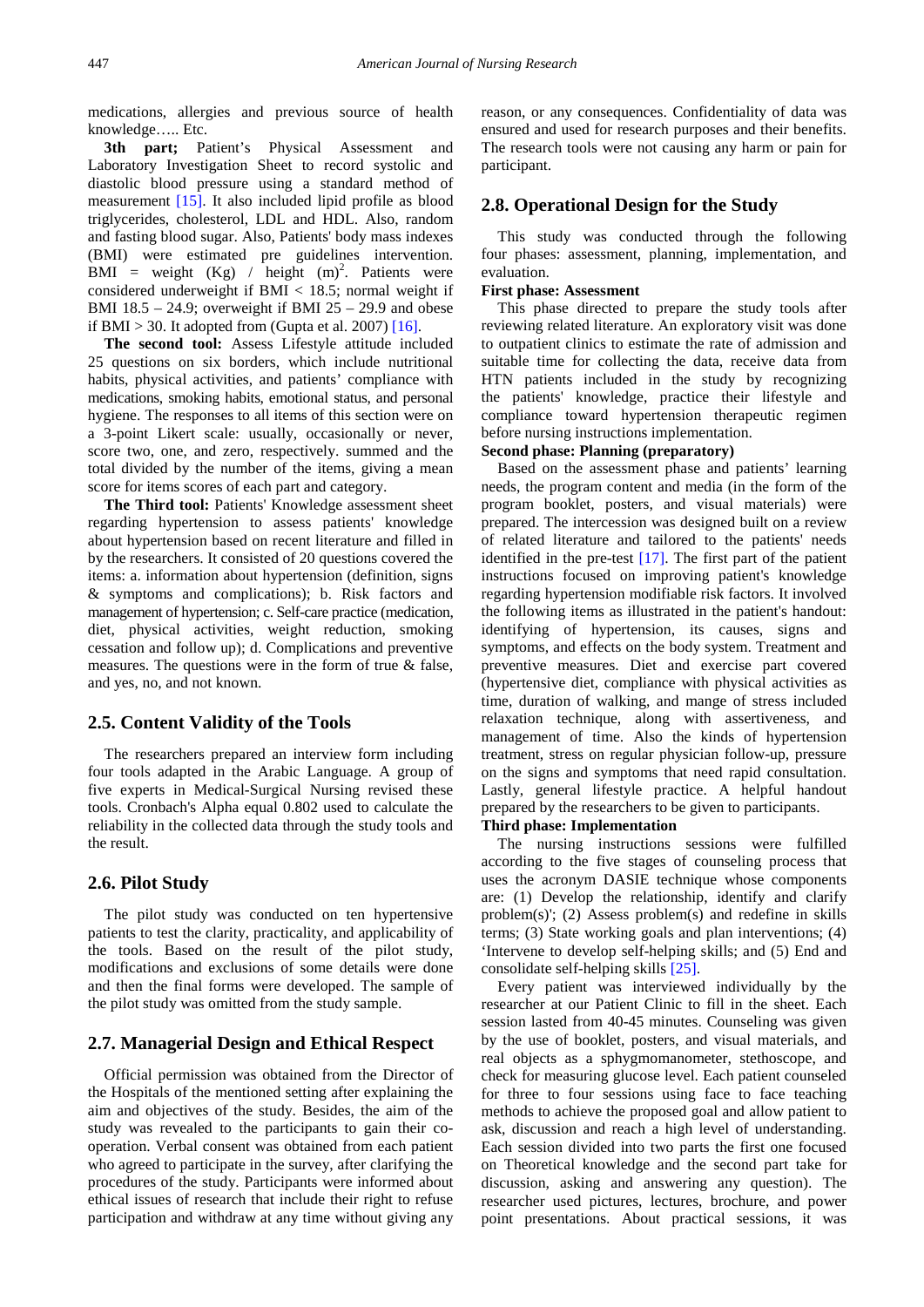medications, allergies and previous source of health knowledge….. Etc.

3th part; Patient's Physical Assessment and Laboratory Investigation Sheet to record systolic and diastolic blood pressure using a standard method of measurement [\[15\].](#page-7-10) It also included lipid profile as blood triglycerides, cholesterol, LDL and HDL. Also, random and fasting blood sugar. Also, Patients' body mass indexes (BMI) were estimated pre guidelines intervention.  $BMI = weight (Kg) / height (m)<sup>2</sup>$ . Patients were considered underweight if BMI < 18.5; normal weight if BMI  $18.5 - 24.9$ ; overweight if BMI  $25 - 29.9$  and obese if BMI > 30. It adopted from (Gupta et al. 2007)  $[16]$ .

**The second tool:** Assess Lifestyle attitude included 25 questions on six borders, which include nutritional habits, physical activities, and patients' compliance with medications, smoking habits, emotional status, and personal hygiene. The responses to all items of this section were on a 3-point Likert scale: usually, occasionally or never, score two, one, and zero, respectively. summed and the total divided by the number of the items, giving a mean score for items scores of each part and category.

**The Third tool:** Patients' Knowledge assessment sheet regarding hypertension to assess patients' knowledge about hypertension based on recent literature and filled in by the researchers. It consisted of 20 questions covered the items: a. information about hypertension (definition, signs & symptoms and complications); b. Risk factors and management of hypertension; c. Self-care practice (medication, diet, physical activities, weight reduction, smoking cessation and follow up); d. Complications and preventive measures. The questions were in the form of true & false, and yes, no, and not known.

#### **2.5. Content Validity of the Tools**

The researchers prepared an interview form including four tools adapted in the Arabic Language. A group of five experts in Medical-Surgical Nursing revised these tools. Cronbach's Alpha equal 0.802 used to calculate the reliability in the collected data through the study tools and the result.

#### **2.6. Pilot Study**

The pilot study was conducted on ten hypertensive patients to test the clarity, practicality, and applicability of the tools. Based on the result of the pilot study, modifications and exclusions of some details were done and then the final forms were developed. The sample of the pilot study was omitted from the study sample.

## **2.7. Managerial Design and Ethical Respect**

Official permission was obtained from the Director of the Hospitals of the mentioned setting after explaining the aim and objectives of the study. Besides, the aim of the study was revealed to the participants to gain their cooperation. Verbal consent was obtained from each patient who agreed to participate in the survey, after clarifying the procedures of the study. Participants were informed about ethical issues of research that include their right to refuse participation and withdraw at any time without giving any

reason, or any consequences. Confidentiality of data was ensured and used for research purposes and their benefits. The research tools were not causing any harm or pain for participant.

#### **2.8. Operational Design for the Study**

This study was conducted through the following four phases: assessment, planning, implementation, and evaluation.

#### **First phase: Assessment**

This phase directed to prepare the study tools after reviewing related literature. An exploratory visit was done to outpatient clinics to estimate the rate of admission and suitable time for collecting the data, receive data from HTN patients included in the study by recognizing the patients' knowledge, practice their lifestyle and compliance toward hypertension therapeutic regimen before nursing instructions implementation.

#### **Second phase: Planning (preparatory)**

Based on the assessment phase and patients' learning needs, the program content and media (in the form of the program booklet, posters, and visual materials) were prepared. The intercession was designed built on a review of related literature and tailored to the patients' needs identified in the pre-test [\[17\].](#page-7-12) The first part of the patient instructions focused on improving patient's knowledge regarding hypertension modifiable risk factors. It involved the following items as illustrated in the patient's handout: identifying of hypertension, its causes, signs and symptoms, and effects on the body system. Treatment and preventive measures. Diet and exercise part covered (hypertensive diet, compliance with physical activities as time, duration of walking, and mange of stress included relaxation technique, along with assertiveness, and management of time. Also the kinds of hypertension treatment, stress on regular physician follow-up, pressure on the signs and symptoms that need rapid consultation. Lastly, general lifestyle practice. A helpful handout prepared by the researchers to be given to participants.

#### **Third phase: Implementation**

The nursing instructions sessions were fulfilled according to the five stages of counseling process that uses the acronym DASIE technique whose components are: (1) Develop the relationship, identify and clarify problem(s)'; (2) Assess problem(s) and redefine in skills terms; (3) State working goals and plan interventions; (4) 'Intervene to develop self-helping skills; and (5) End and consolidate self-helping skills [\[25\].](#page-7-13)

Every patient was interviewed individually by the researcher at our Patient Clinic to fill in the sheet. Each session lasted from 40-45 minutes. Counseling was given by the use of booklet, posters, and visual materials, and real objects as a sphygmomanometer, stethoscope, and check for measuring glucose level. Each patient counseled for three to four sessions using face to face teaching methods to achieve the proposed goal and allow patient to ask, discussion and reach a high level of understanding. Each session divided into two parts the first one focused on Theoretical knowledge and the second part take for discussion, asking and answering any question). The researcher used pictures, lectures, brochure, and power point presentations. About practical sessions, it was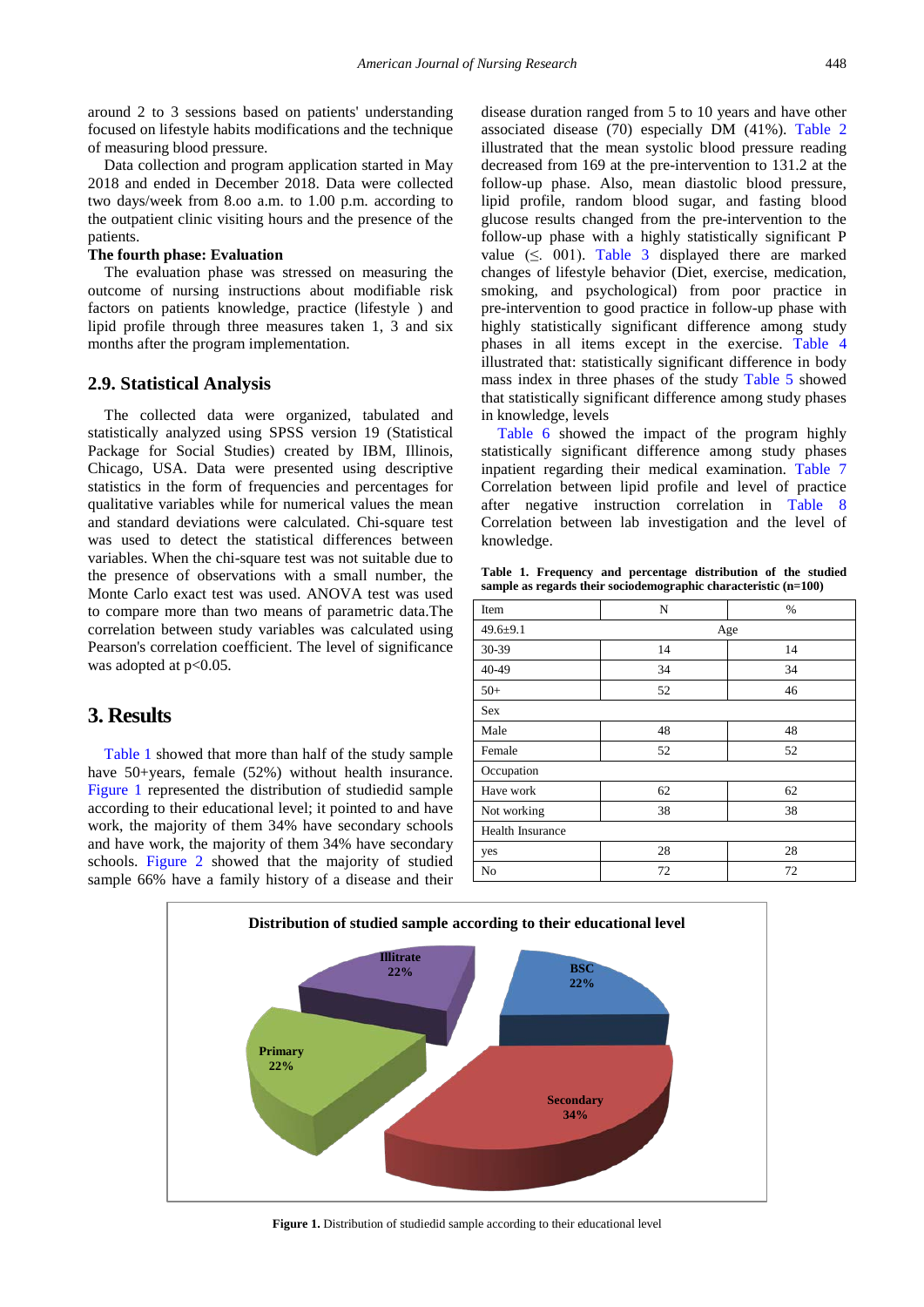around 2 to 3 sessions based on patients' understanding focused on lifestyle habits modifications and the technique of measuring blood pressure.

Data collection and program application started in May 2018 and ended in December 2018. Data were collected two days/week from 8.oo a.m. to 1.00 p.m. according to the outpatient clinic visiting hours and the presence of the patients.

#### **The fourth phase: Evaluation**

The evaluation phase was stressed on measuring the outcome of nursing instructions about modifiable risk factors on patients knowledge, practice (lifestyle ) and lipid profile through three measures taken 1, 3 and six months after the program implementation.

#### **2.9. Statistical Analysis**

The collected data were organized, tabulated and statistically analyzed using SPSS version 19 (Statistical Package for Social Studies) created by IBM, Illinois, Chicago, USA. Data were presented using descriptive statistics in the form of frequencies and percentages for qualitative variables while for numerical values the mean and standard deviations were calculated. Chi-square test was used to detect the statistical differences between variables. When the chi-square test was not suitable due to the presence of observations with a small number, the Monte Carlo exact test was used. ANOVA test was used to compare more than two means of parametric data.The correlation between study variables was calculated using Pearson's correlation coefficient. The level of significance was adopted at  $p<0.05$ .

## **3. Results**

[Table 1](#page-3-0) showed that more than half of the study sample have 50+years, female (52%) without health insurance. [Figure 1](#page-3-1) represented the distribution of studiedid sample according to their educational level; it pointed to and have work, the majority of them 34% have secondary schools and have work, the majority of them 34% have secondary schools. [Figure 2](#page-4-0) showed that the majority of studied sample 66% have a family history of a disease and their disease duration ranged from 5 to 10 years and have other associated disease (70) especially DM (41%). [Table 2](#page-4-1) illustrated that the mean systolic blood pressure reading decreased from 169 at the pre-intervention to 131.2 at the follow-up phase. Also, mean diastolic blood pressure, lipid profile, random blood sugar, and fasting blood glucose results changed from the pre-intervention to the follow-up phase with a highly statistically significant P value  $(\leq 001)$ . [Table 3](#page-4-2) displayed there are marked changes of lifestyle behavior (Diet, exercise, medication, smoking, and psychological) from poor practice in pre-intervention to good practice in follow-up phase with highly statistically significant difference among study phases in all items except in the exercise. [Table 4](#page-4-3) illustrated that: statistically significant difference in body mass index in three phases of the study [Table 5](#page-5-0) showed that statistically significant difference among study phases in knowledge, levels

[Table 6](#page-5-1) showed the impact of the program highly statistically significant difference among study phases inpatient regarding their medical examination. [Table 7](#page-5-2) Correlation between lipid profile and level of practice after negative instruction correlation in [Table 8](#page-5-3) Correlation between lab investigation and the level of knowledge.

<span id="page-3-0"></span>**Table 1. Frequency and percentage distribution of the studied sample as regards their sociodemographic characteristic (n=100)**

| Item                    | N  | %   |
|-------------------------|----|-----|
| $49.6 \pm 9.1$          |    | Age |
| 30-39                   | 14 | 14  |
| 40-49                   | 34 | 34  |
| $50+$                   | 52 | 46  |
| Sex                     |    |     |
| Male                    | 48 | 48  |
| Female                  | 52 | 52  |
| Occupation              |    |     |
| Have work               | 62 | 62  |
| Not working             | 38 | 38  |
| <b>Health Insurance</b> |    |     |
| yes                     | 28 | 28  |
| No                      | 72 | 72  |

<span id="page-3-1"></span>

**Figure 1.** Distribution of studiedid sample according to their educational level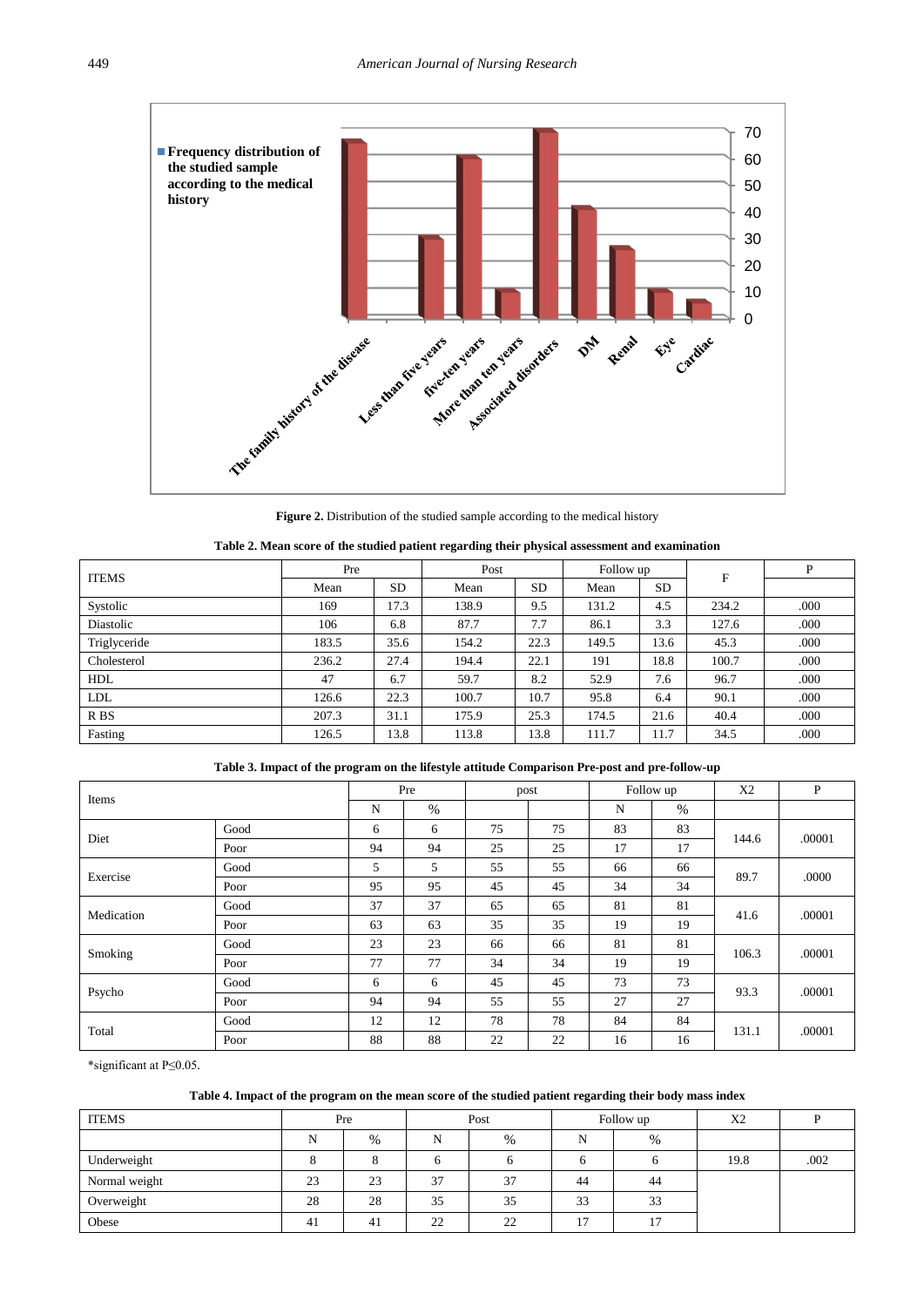<span id="page-4-0"></span>

<span id="page-4-1"></span>**Figure 2.** Distribution of the studied sample according to the medical history

| Table 2. Mean score of the studied patient regarding their physical assessment and examination |  |  |  |  |
|------------------------------------------------------------------------------------------------|--|--|--|--|
|------------------------------------------------------------------------------------------------|--|--|--|--|

| <b>ITEMS</b>    | Pre   |           | Post  |           | Follow up |      | $\mathbf{F}$ | P    |
|-----------------|-------|-----------|-------|-----------|-----------|------|--------------|------|
|                 | Mean  | <b>SD</b> | Mean  | <b>SD</b> | Mean      | SD.  |              |      |
| Systolic        | 169   | 17.3      | 138.9 | 9.5       | 131.2     | 4.5  | 234.2        | .000 |
| Diastolic       | 106   | 6.8       | 87.7  | 7.7       | 86.1      | 3.3  | 127.6        | .000 |
| Triglyceride    | 183.5 | 35.6      | 154.2 | 22.3      | 149.5     | 13.6 | 45.3         | .000 |
| Cholesterol     | 236.2 | 27.4      | 194.4 | 22.1      | 191       | 18.8 | 100.7        | .000 |
| <b>HDL</b>      | 47    | 6.7       | 59.7  | 8.2       | 52.9      | 7.6  | 96.7         | .000 |
| LDL             | 126.6 | 22.3      | 100.7 | 10.7      | 95.8      | 6.4  | 90.1         | .000 |
| R <sub>BS</sub> | 207.3 | 31.1      | 175.9 | 25.3      | 174.5     | 21.6 | 40.4         | .000 |
| Fasting         | 126.5 | 13.8      | 113.8 | 13.8      | 111.7     | 11.7 | 34.5         | .000 |

<span id="page-4-2"></span>

| Items      |      | Pre |      | post |    | Follow up |    | X2    | P      |
|------------|------|-----|------|------|----|-----------|----|-------|--------|
|            |      | N   | $\%$ |      |    | N         | %  |       |        |
| Diet       | Good | 6   | 6    | 75   | 75 | 83        | 83 | 144.6 | .00001 |
|            | Poor | 94  | 94   | 25   | 25 | 17        | 17 |       |        |
| Exercise   | Good | 5   | 5    | 55   | 55 | 66        | 66 | 89.7  | .0000  |
|            | Poor | 95  | 95   | 45   | 45 | 34        | 34 |       |        |
|            | Good | 37  | 37   | 65   | 65 | 81        | 81 | 41.6  | .00001 |
| Medication | Poor | 63  | 63   | 35   | 35 | 19        | 19 |       |        |
|            | Good | 23  | 23   | 66   | 66 | 81        | 81 | 106.3 | .00001 |
| Smoking    | Poor | 77  | 77   | 34   | 34 | 19        | 19 |       |        |
| Psycho     | Good | 6   | 6    | 45   | 45 | 73        | 73 | 93.3  | .00001 |
|            | Poor | 94  | 94   | 55   | 55 | 27        | 27 |       |        |
| Total      | Good | 12  | 12   | 78   | 78 | 84        | 84 |       |        |
|            | Poor | 88  | 88   | 22   | 22 | 16        | 16 | 131.1 | .00001 |

\*significant at P≤0.05.

## <span id="page-4-3"></span>**Table 4. Impact of the program on the mean score of the studied patient regarding their body mass index**

| <b>ITEMS</b>  |    | Pre<br>Post |    |      |    | Follow up | X2   |      |
|---------------|----|-------------|----|------|----|-----------|------|------|
|               | N  | %           | N  | $\%$ | N  | $\%$      |      |      |
| Underweight   |    | Ο           |    |      |    |           | 19.8 | .002 |
| Normal weight | 23 | 23          | 37 | 37   | 44 | 44        |      |      |
| Overweight    | 28 | 28          | 35 | 35   | 33 | 33        |      |      |
| Obese         | 41 | 41          | 22 | 22   | 17 | 17        |      |      |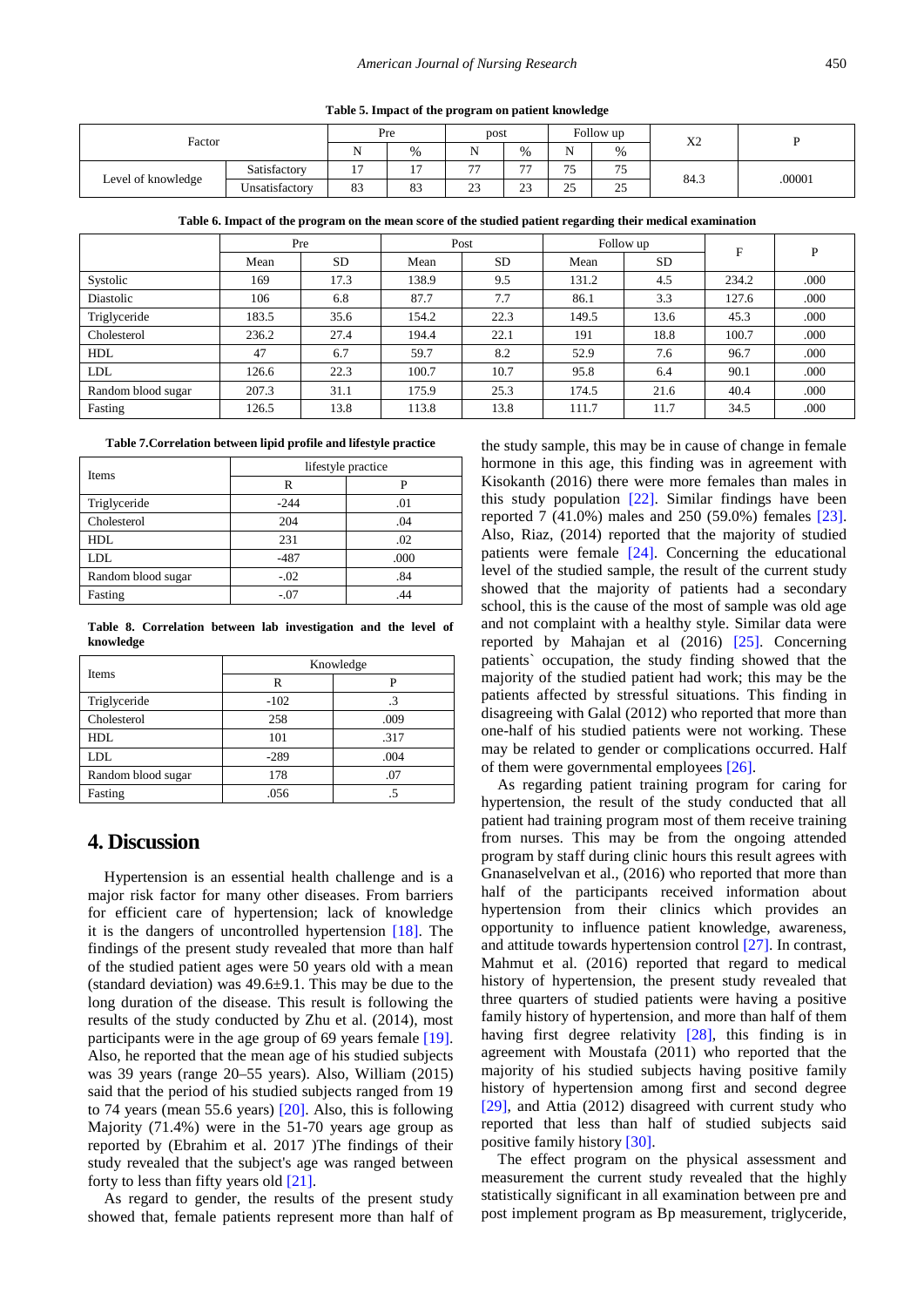**Table 5. Impact of the program on patient knowledge**

| Factor             |                | Pre            |                | post           |                          | Follow up |                 | $\mathbf{v}$ |        |
|--------------------|----------------|----------------|----------------|----------------|--------------------------|-----------|-----------------|--------------|--------|
|                    |                |                | $\%$           |                | %                        | ъT<br>ΙN  | %               | Λ∠           |        |
|                    | Satisfactory   | $\sim$         | $\overline{ }$ | $\overline{a}$ | $\overline{\phantom{a}}$ | $-$<br>ر_ | --<br>$\cdot$ J | 84.3         | .00001 |
| Level of knowledge | Unsatisfactory | $\Omega$<br>83 | 83             | $\sim$<br>ر_   | $\sim$<br>ر ے            | 25<br>رے  | 25              |              |        |

**Table 6. Impact of the program on the mean score of the studied patient regarding their medical examination**

|                    | Pre   |           |       | Post      |       | Follow up | F     | P    |
|--------------------|-------|-----------|-------|-----------|-------|-----------|-------|------|
|                    | Mean  | <b>SD</b> | Mean  | <b>SD</b> | Mean  | <b>SD</b> |       |      |
| Systolic           | 169   | 17.3      | 138.9 | 9.5       | 131.2 | 4.5       | 234.2 | .000 |
| Diastolic          | 106   | 6.8       | 87.7  | 7.7       | 86.1  | 3.3       | 127.6 | .000 |
| Triglyceride       | 183.5 | 35.6      | 154.2 | 22.3      | 149.5 | 13.6      | 45.3  | .000 |
| Cholesterol        | 236.2 | 27.4      | 194.4 | 22.1      | 191   | 18.8      | 100.7 | .000 |
| <b>HDL</b>         | 47    | 6.7       | 59.7  | 8.2       | 52.9  | 7.6       | 96.7  | .000 |
| <b>LDL</b>         | 126.6 | 22.3      | 100.7 | 10.7      | 95.8  | 6.4       | 90.1  | .000 |
| Random blood sugar | 207.3 | 31.1      | 175.9 | 25.3      | 174.5 | 21.6      | 40.4  | .000 |
| Fasting            | 126.5 | 13.8      | 113.8 | 13.8      | 111.7 | 11.7      | 34.5  | .000 |

**Table 7.Correlation between lipid profile and lifestyle practice**

<span id="page-5-2"></span>

| <b>Items</b>       | lifestyle practice |      |  |  |  |  |
|--------------------|--------------------|------|--|--|--|--|
|                    | R                  | P    |  |  |  |  |
| Triglyceride       | $-244$             | .01  |  |  |  |  |
| Cholesterol        | 204                | .04  |  |  |  |  |
| <b>HDL</b>         | 231                | .02  |  |  |  |  |
| <b>LDL</b>         | $-487$             | .000 |  |  |  |  |
| Random blood sugar | $-.02$             | .84  |  |  |  |  |
| Fasting            | $-.07$             | 44   |  |  |  |  |

**Table 8. Correlation between lab investigation and the level of knowledge**

<span id="page-5-3"></span>

| Items              | Knowledge |      |  |  |  |  |
|--------------------|-----------|------|--|--|--|--|
|                    | R         | P    |  |  |  |  |
| Triglyceride       | $-102$    | .3   |  |  |  |  |
| Cholesterol        | 258       | .009 |  |  |  |  |
| <b>HDL</b>         | 101       | .317 |  |  |  |  |
| <b>LDL</b>         | $-289$    | .004 |  |  |  |  |
| Random blood sugar | 178       | .07  |  |  |  |  |
| Fasting            | .056      |      |  |  |  |  |

## **4. Discussion**

Hypertension is an essential health challenge and is a major risk factor for many other diseases. From barriers for efficient care of hypertension; lack of knowledge it is the dangers of uncontrolled hypertension [\[18\].](#page-7-14) The findings of the present study revealed that more than half of the studied patient ages were 50 years old with a mean (standard deviation) was 49.6±9.1. This may be due to the long duration of the disease. This result is following the results of the study conducted by Zhu et al. (2014), most participants were in the age group of 69 years female [\[19\].](#page-7-15) Also, he reported that the mean age of his studied subjects was 39 years (range 20–55 years). Also, William (2015) said that the period of his studied subjects ranged from 19 to 74 years (mean 55.6 years) [\[20\].](#page-7-16) Also, this is following Majority (71.4%) were in the 51-70 years age group as reported by (Ebrahim et al. 2017 )The findings of their study revealed that the subject's age was ranged between forty to less than fifty years ol[d \[21\].](#page-7-17)

As regard to gender, the results of the present study showed that, female patients represent more than half of <span id="page-5-1"></span><span id="page-5-0"></span>the study sample, this may be in cause of change in female hormone in this age, this finding was in agreement with Kisokanth (2016) there were more females than males in this study population [\[22\].](#page-7-18) Similar findings have been reported 7 (41.0%) males and 250 (59.0%) females [\[23\].](#page-7-19) Also, Riaz, (2014) reported that the majority of studied patients were female [\[24\].](#page-7-20) Concerning the educational level of the studied sample, the result of the current study showed that the majority of patients had a secondary school, this is the cause of the most of sample was old age and not complaint with a healthy style. Similar data were reported by Mahajan et al (2016) [\[25\].](#page-7-13) Concerning patients` occupation, the study finding showed that the majority of the studied patient had work; this may be the patients affected by stressful situations. This finding in disagreeing with Galal (2012) who reported that more than one-half of his studied patients were not working. These may be related to gender or complications occurred. Half of them were governmental employees [\[26\].](#page-7-21)

As regarding patient training program for caring for hypertension, the result of the study conducted that all patient had training program most of them receive training from nurses. This may be from the ongoing attended program by staff during clinic hours this result agrees with Gnanaselvelvan et al., (2016) who reported that more than half of the participants received information about hypertension from their clinics which provides an opportunity to influence patient knowledge, awareness, and attitude towards hypertension control [\[27\].](#page-7-22) In contrast, Mahmut et al. (2016) reported that regard to medical history of hypertension, the present study revealed that three quarters of studied patients were having a positive family history of hypertension, and more than half of them having first degree relativity [\[28\],](#page-7-23) this finding is in agreement with Moustafa (2011) who reported that the majority of his studied subjects having positive family history of hypertension among first and second degree [\[29\],](#page-7-24) and Attia (2012) disagreed with current study who reported that less than half of studied subjects said positive family history [\[30\].](#page-7-25)

The effect program on the physical assessment and measurement the current study revealed that the highly statistically significant in all examination between pre and post implement program as Bp measurement, triglyceride,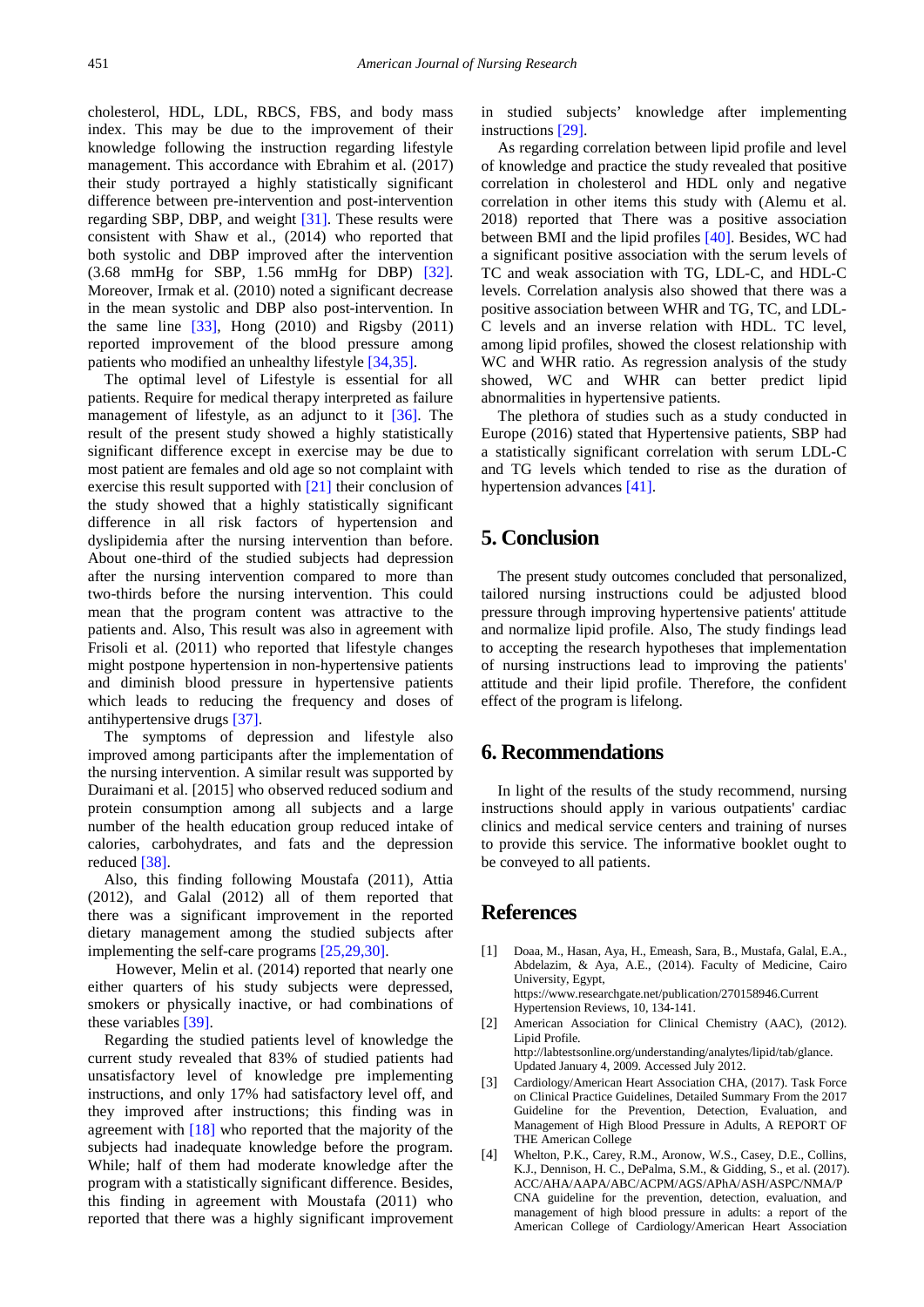cholesterol, HDL, LDL, RBCS, FBS, and body mass index. This may be due to the improvement of their knowledge following the instruction regarding lifestyle management. This accordance with Ebrahim et al. (2017) their study portrayed a highly statistically significant difference between pre-intervention and post-intervention regarding SBP, DBP, and weight [\[31\].](#page-7-26) These results were consistent with Shaw et al., (2014) who reported that both systolic and DBP improved after the intervention (3.68 mmHg for SBP, 1.56 mmHg for DBP) [\[32\].](#page-7-27) Moreover, Irmak et al. (2010) noted a significant decrease in the mean systolic and DBP also post-intervention. In the same line  $[33]$ , Hong  $(2010)$  and Rigsby  $(2011)$ reported improvement of the blood pressure among patients who modified an unhealthy lifestyle [\[34,35\].](#page-7-29)

The optimal level of Lifestyle is essential for all patients. Require for medical therapy interpreted as failure management of lifestyle, as an adjunct to it [\[36\].](#page-7-30) The result of the present study showed a highly statistically significant difference except in exercise may be due to most patient are females and old age so not complaint with exercise this result supported with [\[21\]](#page-7-17) their conclusion of the study showed that a highly statistically significant difference in all risk factors of hypertension and dyslipidemia after the nursing intervention than before. About one-third of the studied subjects had depression after the nursing intervention compared to more than two-thirds before the nursing intervention. This could mean that the program content was attractive to the patients and. Also, This result was also in agreement with Frisoli et al. (2011) who reported that lifestyle changes might postpone hypertension in non-hypertensive patients and diminish blood pressure in hypertensive patients which leads to reducing the frequency and doses of antihypertensive drugs [\[37\].](#page-7-31)

The symptoms of depression and lifestyle also improved among participants after the implementation of the nursing intervention. A similar result was supported by Duraimani et al. [2015] who observed reduced sodium and protein consumption among all subjects and a large number of the health education group reduced intake of calories, carbohydrates, and fats and the depression reduced [\[38\].](#page-7-32)

Also, this finding following Moustafa (2011), Attia (2012), and Galal (2012) all of them reported that there was a significant improvement in the reported dietary management among the studied subjects after implementing the self-care programs [\[25,29,30\].](#page-7-13)

 However, Melin et al. (2014) reported that nearly one either quarters of his study subjects were depressed, smokers or physically inactive, or had combinations of these variables [\[39\].](#page-7-33)

Regarding the studied patients level of knowledge the current study revealed that 83% of studied patients had unsatisfactory level of knowledge pre implementing instructions, and only 17% had satisfactory level off, and they improved after instructions; this finding was in agreement with [\[18\]](#page-7-14) who reported that the majority of the subjects had inadequate knowledge before the program. While; half of them had moderate knowledge after the program with a statistically significant difference. Besides, this finding in agreement with Moustafa (2011) who reported that there was a highly significant improvement

in studied subjects' knowledge after implementing instructions [\[29\].](#page-7-24)

As regarding correlation between lipid profile and level of knowledge and practice the study revealed that positive correlation in cholesterol and HDL only and negative correlation in other items this study with (Alemu et al. 2018) reported that There was a positive association between BMI and the lipid profiles [\[40\].](#page-7-34) Besides, WC had a significant positive association with the serum levels of TC and weak association with TG, LDL-C, and HDL-C levels. Correlation analysis also showed that there was a positive association between WHR and TG, TC, and LDL-C levels and an inverse relation with HDL. TC level, among lipid profiles, showed the closest relationship with WC and WHR ratio. As regression analysis of the study showed, WC and WHR can better predict lipid abnormalities in hypertensive patients.

The plethora of studies such as a study conducted in Europe (2016) stated that Hypertensive patients, SBP had a statistically significant correlation with serum LDL-C and TG levels which tended to rise as the duration of hypertension advances [\[41\].](#page-7-35)

# **5. Conclusion**

The present study outcomes concluded that personalized, tailored nursing instructions could be adjusted blood pressure through improving hypertensive patients' attitude and normalize lipid profile. Also, The study findings lead to accepting the research hypotheses that implementation of nursing instructions lead to improving the patients' attitude and their lipid profile. Therefore, the confident effect of the program is lifelong.

# **6. Recommendations**

In light of the results of the study recommend, nursing instructions should apply in various outpatients' cardiac clinics and medical service centers and training of nurses to provide this service. The informative booklet ought to be conveyed to all patients.

# **References**

- <span id="page-6-0"></span>[1] Doaa, M., Hasan, Aya, H., Emeash, Sara, B., Mustafa, Galal, E.A., Abdelazim, & Aya, A.E., (2014). Faculty of Medicine, Cairo University, Egypt, https://www.researchgate.net/publication/270158946.Current Hypertension Reviews, 10, 134-141.
- <span id="page-6-1"></span>[2] American Association for Clinical Chemistry (AAC), (2012). Lipid Profile. http://labtestsonline.org/understanding/analytes/lipid/tab/glance.
	- Updated January 4, 2009. Accessed July 2012.
- <span id="page-6-2"></span>[3] Cardiology/American Heart Association CHA, (2017). Task Force on Clinical Practice Guidelines, Detailed Summary From the 2017 Guideline for the Prevention, Detection, Evaluation, and Management of High Blood Pressure in Adults, A REPORT OF THE American College
- <span id="page-6-3"></span>[4] Whelton, P.K., Carey, R.M., Aronow, W.S., Casey, D.E., Collins, K.J., Dennison, H. C., DePalma, S.M., & Gidding, S., et al. (2017). ACC/AHA/AAPA/ABC/ACPM/AGS/APhA/ASH/ASPC/NMA/P CNA guideline for the prevention, detection, evaluation, and management of high blood pressure in adults: a report of the American College of Cardiology/American Heart Association